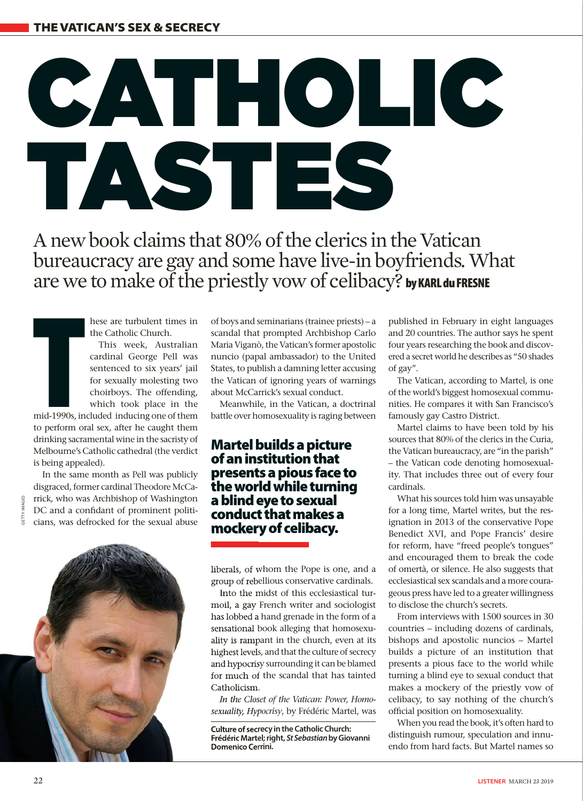# CATHOLIC TASTES

 A new book claims that 80% of the clerics in the Vatican bureaucracy are gay and some have live-in boyfriends. What

> hese are turbulent times in the Catholic Church.

This week, Australian cardinal George Pell was sentenced to six years' jail for sexually molesting two choirboys. The offending, which took place in the

mid-1990s, included inducing one of them to perform oral sex, after he caught them drinking sacramental wine in the sacristy of Melbourne's Catholic cathedral (the verdict is being appealed).

In the same month as Pell was publicly disgraced, former cardinal Theodore McCarrick, who was Archbishop of Washington DC and a confidant of prominent politicians, was defrocked for the sexual abuse



**EXECT: EXECT: THE PREST OF THE PREST OF THE PREST OF CELIBACY? by KARL du FRESNE**<br>
hese are turbulent times in of boys and seminarians (trainee priests) – a published in February in<br>
the Catholic Church. scandal tha of boys and seminarians (trainee priests) – a scandal that prompted Archbishop Carlo Maria Viganò, the Vatican's former apostolic nuncio (papal ambassador) to the United States, to publish a damning letter accusing the Vatican of ignoring years of warnings about McCarrick's sexual conduct.

Meanwhile, in the Vatican, a doctrinal battle over homosexuality is raging between

# **Martel builds a picture of an institution that presents a pious face to the world while turning a blind eye to sexual conduct that makes a mockery of celibacy.**

liberals, of whom the Pope is one, and a group of rebellious conservative cardinals.

Into the midst of this ecclesiastical turmoil, a gay French writer and sociologist has lobbed a hand grenade in the form of a sensational book alleging that homosexuality is rampant in the church, even at its highest levels, and that the culture of secrecy and hypocrisy surrounding it can be blamed for much of the scandal that has tainted Catholicism.

*In the Closet of the Vatican: Power, Homosexuality, Hypocrisy*, by Frédéric Martel, was

**Culture of secrecy in the Catholic Church: Frédéric Martel; right, St Sebastian by Giovanni Domenico Cerrini.**

published in February in eight languages and 20 countries. The author says he spent four years researching the book and discovered a secret world he describes as "50 shades of gay".

The Vatican, according to Martel, is one of the world's biggest homosexual communities. He compares it with San Francisco's famously gay Castro District.

Martel claims to have been told by his sources that 80% of the clerics in the Curia, the Vatican bureaucracy, are "in the parish" – the Vatican code denoting homosexuality. That includes three out of every four cardinals.

What his sources told him was unsayable for a long time, Martel writes, but the resignation in 2013 of the conservative Pope Benedict XVI, and Pope Francis' desire for reform, have "freed people's tongues" and encouraged them to break the code of omertà, or silence. He also suggests that ecclesiastical sex scandals and a more courageous press have led to a greater willingness to disclose the church's secrets.

From interviews with 1500 sources in 30 countries – including dozens of cardinals, bishops and apostolic nuncios – Martel builds a picture of an institution that presents a pious face to the world while turning a blind eye to sexual conduct that makes a mockery of the priestly vow of celibacy, to say nothing of the church's official position on homosexuality.

When you read the book, it's often hard to distinguish rumour, speculation and innuendo from hard facts. But Martel names so

GETTY IMAGES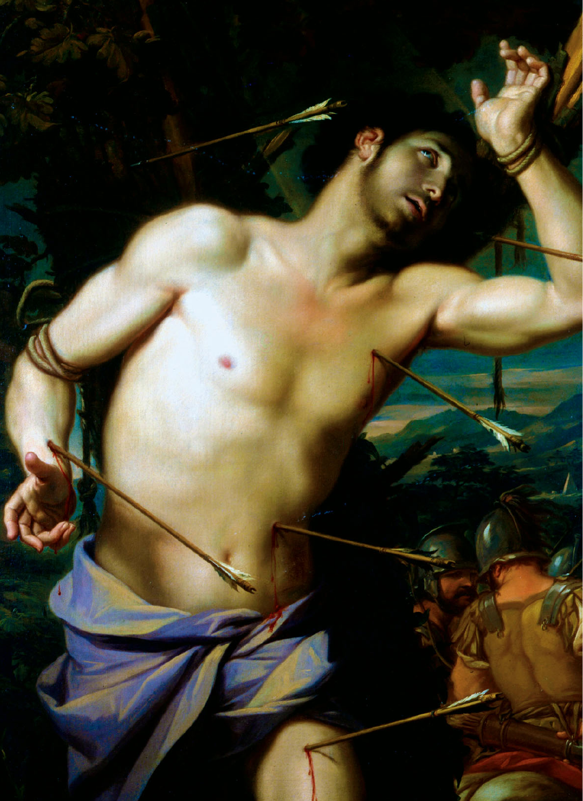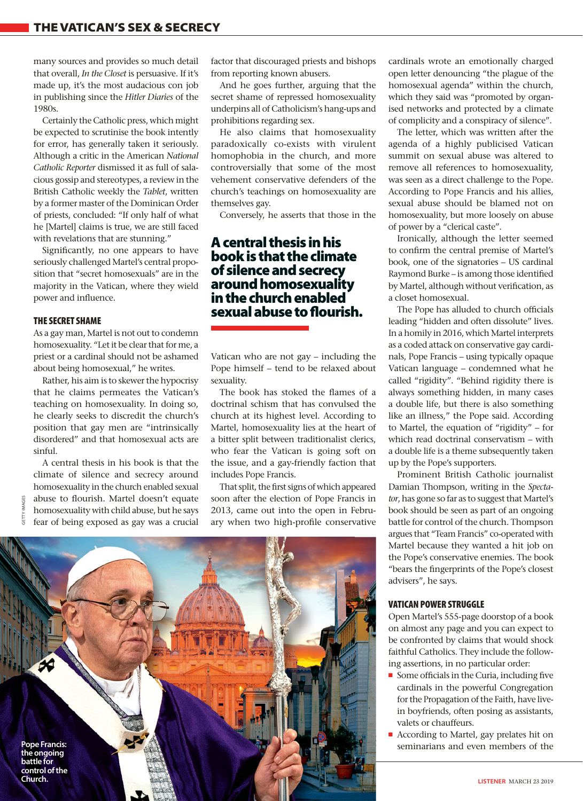many sources and provides so much detail that overall, *In the Closet* is persuasive. If it's made up, it's the most audacious con job in publishing since the *Hitler Diaries* of the 1980s.

Certainly the Catholic press, which might be expected to scrutinise the book intently for error, has generally taken it seriously. Although a critic in the American *National Catholic Reporter* dismissed it as full of salacious gossip and stereotypes, a review in the British Catholic weekly the *Tablet*, written by a former master of the Dominican Order of priests, concluded: "If only half of what he [Martel] claims is true, we are still faced with revelations that are stunning."

Significantly, no one appears to have seriously challenged Martel's central proposition that "secret homosexuals" are in the majority in the Vatican, where they wield power and influence.

#### **THE SECRET SHAME**

GETTY

As a gay man, Martel is not out to condemn homosexuality. "Let it be clear that for me, a priest or a cardinal should not be ashamed about being homosexual," he writes.

Rather, his aim is to skewer the hypocrisy that he claims permeates the Vatican's teaching on homosexuality. In doing so, he clearly seeks to discredit the church's position that gay men are "intrinsically disordered" and that homosexual acts are sinful.

A central thesis in his book is that the climate of silence and secrecy around homosexuality in the church enabled sexual abuse to flourish. Martel doesn't equate homosexuality with child abuse, but he says fear of being exposed as gay was a crucial

factor that discouraged priests and bishops from reporting known abusers.

And he goes further, arguing that the secret shame of repressed homosexuality underpins all of Catholicism's hang-ups and prohibitions regarding sex.

He also claims that homosexuality paradoxically co-exists with virulent homophobia in the church, and more controversially that some of the most vehement conservative defenders of the church's teachings on homosexuality are themselves gay.

Conversely, he asserts that those in the

# **A central thesis in his book is that the climate of silence and secrecy around homosexuality in the church enabled sexual abuse to fl ourish.**

Vatican who are not gay – including the Pope himself – tend to be relaxed about sexuality.

The book has stoked the flames of a doctrinal schism that has convulsed the church at its highest level. According to Martel, homosexuality lies at the heart of a bitter split between traditionalist clerics, who fear the Vatican is going soft on the issue, and a gay-friendly faction that includes Pope Francis.

That split, the first signs of which appeared soon after the election of Pope Francis in 2013, came out into the open in February when two high-profile conservative



cardinals wrote an emotionally charged open letter denouncing "the plague of the homosexual agenda" within the church, which they said was "promoted by organised networks and protected by a climate of complicity and a conspiracy of silence".

The letter, which was written after the agenda of a highly publicised Vatican summit on sexual abuse was altered to remove all references to homosexuality, was seen as a direct challenge to the Pope. According to Pope Francis and his allies, sexual abuse should be blamed not on homosexuality, but more loosely on abuse of power by a "clerical caste".

Ironically, although the letter seemed to confirm the central premise of Martel's book, one of the signatories – US cardinal Raymond Burke – is among those identified by Martel, although without verification, as a closet homosexual.

The Pope has alluded to church officials leading "hidden and often dissolute" lives. In a homily in 2016, which Martel interprets as a coded attack on conservative gay cardinals, Pope Francis – using typically opaque Vatican language – condemned what he called "rigidity". "Behind rigidity there is always something hidden, in many cases a double life, but there is also something like an illness," the Pope said. According to Martel, the equation of "rigidity" – for which read doctrinal conservatism – with a double life is a theme subsequently taken up by the Pope's supporters.

Prominent British Catholic journalist Damian Thompson, writing in the *Spectator*, has gone so far as to suggest that Martel's book should be seen as part of an ongoing battle for control of the church. Thompson argues that "Team Francis" co-operated with Martel because they wanted a hit job on the Pope's conservative enemies. The book "bears the fingerprints of the Pope's closest advisers", he says.

### **VATICAN POWER STRUGGLE**

Open Martel's 555-page doorstop of a book on almost any page and you can expect to be confronted by claims that would shock faithful Catholics. They include the following assertions, in no particular order:

- $\blacksquare$  Some officials in the Curia, including five cardinals in the powerful Congregation for the Propagation of the Faith, have livein boyfriends, often posing as assistants, valets or chauffeurs.
- According to Martel, gay prelates hit on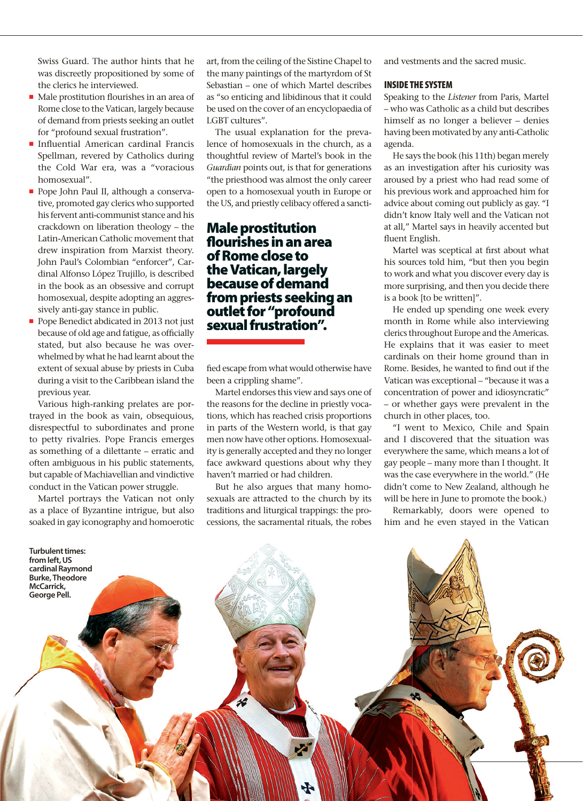Swiss Guard. The author hints that he was discreetly propositioned by some of the clerics he interviewed.

- Male prostitution flourishes in an area of Rome close to the Vatican, largely because of demand from priests seeking an outlet for "profound sexual frustration".
- Influential American cardinal Francis Spellman, revered by Catholics during the Cold War era, was a "voracious homosexual".
- Pope John Paul II, although a conservative, promoted gay clerics who supported his fervent anti-communist stance and his crackdown on liberation theology – the Latin-American Catholic movement that drew inspiration from Marxist theory. John Paul's Colombian "enforcer", Cardinal Alfonso López Trujillo, is described in the book as an obsessive and corrupt homosexual, despite adopting an aggressively anti-gay stance in public.
- Pope Benedict abdicated in 2013 not just because of old age and fatigue, as officially stated, but also because he was overwhelmed by what he had learnt about the extent of sexual abuse by priests in Cuba during a visit to the Caribbean island the previous year.

Various high-ranking prelates are portrayed in the book as vain, obsequious, disrespectful to subordinates and prone to petty rivalries. Pope Francis emerges as something of a dilettante – erratic and often ambiguous in his public statements, but capable of Machiavellian and vindictive conduct in the Vatican power struggle.

Martel portrays the Vatican not only as a place of Byzantine intrigue, but also soaked in gay iconography and homoerotic

art, from the ceiling of the Sistine Chapel to the many paintings of the martyrdom of St Sebastian – one of which Martel describes as "so enticing and libidinous that it could be used on the cover of an encyclopaedia of LGBT cultures".

The usual explanation for the prevalence of homosexuals in the church, as a thoughtful review of Martel's book in the *Guardian* points out, is that for generations "the priesthood was almost the only career open to a homosexual youth in Europe or the US, and priestly celibacy offered a sancti-

## **Male prostitution fl ourishes in an area of Rome close to the Vatican, largely because of demand from priests seeking an outlet for "profound sexual frustration".**

fied escape from what would otherwise have been a crippling shame".

Martel endorses this view and says one of the reasons for the decline in priestly vocations, which has reached crisis proportions in parts of the Western world, is that gay men now have other options. Homosexuality is generally accepted and they no longer face awkward questions about why they haven't married or had children.

But he also argues that many homosexuals are attracted to the church by its traditions and liturgical trappings: the processions, the sacramental rituals, the robes and vestments and the sacred music.

#### **INSIDE THE SYSTEM**

Speaking to the *Listener* from Paris, Martel – who was Catholic as a child but describes himself as no longer a believer – denies having been motivated by any anti-Catholic agenda.

He says the book (his 11th) began merely as an investigation after his curiosity was aroused by a priest who had read some of his previous work and approached him for advice about coming out publicly as gay. "I didn't know Italy well and the Vatican not at all," Martel says in heavily accented but fluent English.

Martel was sceptical at first about what his sources told him, "but then you begin to work and what you discover every day is more surprising, and then you decide there is a book [to be written]".

He ended up spending one week every month in Rome while also interviewing clerics throughout Europe and the Americas. He explains that it was easier to meet cardinals on their home ground than in Rome. Besides, he wanted to find out if the Vatican was exceptional – "because it was a concentration of power and idiosyncratic" – or whether gays were prevalent in the church in other places, too.

"I went to Mexico, Chile and Spain and I discovered that the situation was everywhere the same, which means a lot of gay people – many more than I thought. It was the case everywhere in the world." (He didn't come to New Zealand, although he will be here in June to promote the book.)

Remarkably, doors were opened to him and he even stayed in the Vatican